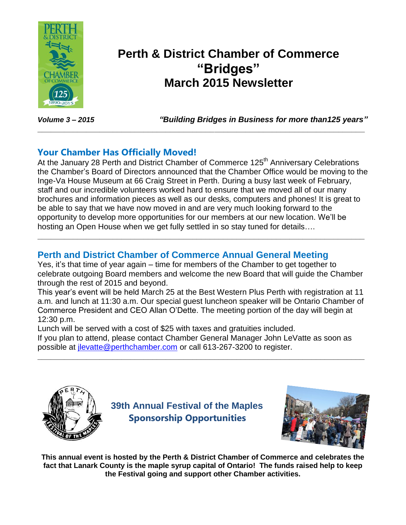

## **Perth & District Chamber of Commerce "Bridges" March 2015 Newsletter**

*Volume 3 – 2015 "Building Bridges in Business for more than125 years"*

## **Your Chamber Has Officially Moved!**

At the January 28 Perth and District Chamber of Commerce 125<sup>th</sup> Anniversary Celebrations the Chamber's Board of Directors announced that the Chamber Office would be moving to the Inge-Va House Museum at 66 Craig Street in Perth. During a busy last week of February, staff and our incredible volunteers worked hard to ensure that we moved all of our many brochures and information pieces as well as our desks, computers and phones! It is great to be able to say that we have now moved in and are very much looking forward to the opportunity to develop more opportunities for our members at our new location. We'll be hosting an Open House when we get fully settled in so stay tuned for details….

**\_\_\_\_\_\_\_\_\_\_\_\_\_\_\_\_\_\_\_\_\_\_\_\_\_\_\_\_\_\_\_\_\_\_\_\_\_\_\_\_\_\_\_\_\_\_\_\_\_\_\_\_\_\_\_\_\_\_\_\_\_\_\_\_\_\_\_\_\_\_\_\_\_\_**

## **Perth and District Chamber of Commerce Annual General Meeting**

Yes, it's that time of year again – time for members of the Chamber to get together to celebrate outgoing Board members and welcome the new Board that will guide the Chamber through the rest of 2015 and beyond.

**\_\_\_\_\_\_\_\_\_\_\_\_\_\_\_\_\_\_\_\_\_\_\_\_\_\_\_\_\_\_\_\_\_\_\_\_\_\_\_\_\_\_\_\_\_\_\_\_\_\_\_\_\_\_\_\_\_\_\_\_\_\_\_\_\_\_\_\_\_\_\_\_\_\_**

This year's event will be held March 25 at the Best Western Plus Perth with registration at 11 a.m. and lunch at 11:30 a.m. Our special guest luncheon speaker will be Ontario Chamber of Commerce President and CEO Allan O'Dette. The meeting portion of the day will begin at 12:30 p.m.

Lunch will be served with a cost of \$25 with taxes and gratuities included.

If you plan to attend, please contact Chamber General Manager John LeVatte as soon as possible at [jlevatte@perthchamber.com](mailto:jlevatte@perthchamber.com) or call 613-267-3200 to register.

**\_\_\_\_\_\_\_\_\_\_\_\_\_\_\_\_\_\_\_\_\_\_\_\_\_\_\_\_\_\_\_\_\_\_\_\_\_\_\_\_\_\_\_\_\_\_\_\_\_\_\_\_\_\_\_\_\_\_\_\_\_\_\_\_\_\_\_\_\_\_\_\_\_\_**



**39th Annual Festival of the Maples Sponsorship Opportunities**



**This annual event is hosted by the Perth & District Chamber of Commerce and celebrates the fact that Lanark County is the maple syrup capital of Ontario! The funds raised help to keep the Festival going and support other Chamber activities.**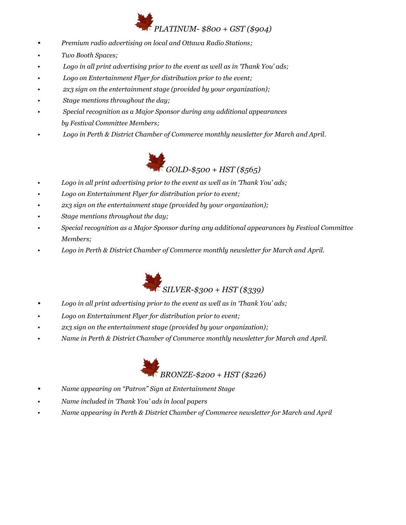## *PLATINUM- \$800 + GST (\$904)*

- *• Premium radio advertising on local and Ottawa Radio Stations;*
- *• Two Booth Spaces;*
- *• Logo in all print advertising prior to the event as well as in 'Thank You' ads;*
- *• Logo on Entertainment Flyer for distribution prior to the event;*
- *• 2x3 sign on the entertainment stage (provided by your organization);*
- *• Stage mentions throughout the day;*
- *• Special recognition as a Major Sponsor during any additional appearances by Festival Committee Members;*
- *• Logo in Perth & District Chamber of Commerce monthly newsletter for March and April.*



- *• Logo in all print advertising prior to the event as well as in 'Thank You' ads;*
- *• Logo on Entertainment Flyer for distribution prior to event;*
- *• 2x3 sign on the entertainment stage (provided by your organization);*
- *• Stage mentions throughout the day;*
- *• Special recognition as a Major Sponsor during any additional appearances by Festival Committee Members;*
- *• Logo in Perth & District Chamber of Commerce monthly newsletter for March and April.*



- *• Logo in all print advertising prior to the event as well as in 'Thank You' ads;*
- *• Logo on Entertainment Flyer for distribution prior to event;*
- *• 2x3 sign on the entertainment stage (provided by your organization);*
- *• Name in Perth & District Chamber of Commerce monthly newsletter for March and April.*



- *• Name appearing on "Patron" Sign at Entertainment Stage*
- *• Name included in 'Thank You' ads in local papers*
- *• Name appearing in Perth & District Chamber of Commerce newsletter for March and April*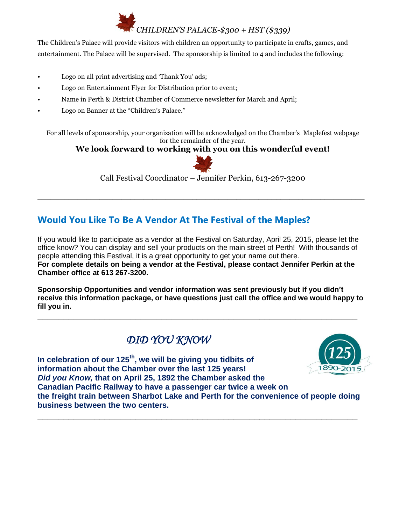## *CHILDREN'S PALACE-\$300 + HST (\$339)*

The Children's Palace will provide visitors with children an opportunity to participate in crafts, games, and entertainment. The Palace will be supervised. The sponsorship is limited to 4 and includes the following:

- Logo on all print advertising and 'Thank You' ads;
- Logo on Entertainment Flyer for Distribution prior to event;
- Name in Perth & District Chamber of Commerce newsletter for March and April;
- Logo on Banner at the "Children's Palace."

For all levels of sponsorship, your organization will be acknowledged on the Chamber's Maplefest webpage for the remainder of the year.

#### **We look forward to working with you on this wonderful event!**



Call Festival Coordinator – Jennifer Perkin, 613-267-3200

**\_\_\_\_\_\_\_\_\_\_\_\_\_\_\_\_\_\_\_\_\_\_\_\_\_\_\_\_\_\_\_\_\_\_\_\_\_\_\_\_\_\_\_\_\_\_\_\_\_\_\_\_\_\_\_\_\_\_\_\_\_\_\_\_\_\_\_\_\_\_\_\_\_\_**

## **Would You Like To Be A Vendor At The Festival of the Maples?**

If you would like to participate as a vendor at the Festival on Saturday, April 25, 2015, please let the office know? You can display and sell your products on the main street of Perth! With thousands of people attending this Festival, it is a great opportunity to get your name out there. **For complete details on being a vendor at the Festival, please contact Jennifer Perkin at the Chamber office at 613 267-3200.**

**Sponsorship Opportunities and vendor information was sent previously but if you didn't receive this information package, or have questions just call the office and we would happy to fill you in.**

**\_\_\_\_\_\_\_\_\_\_\_\_\_\_\_\_\_\_\_\_\_\_\_\_\_\_\_\_\_\_\_\_\_\_\_\_\_\_\_\_\_\_\_\_\_\_\_\_\_\_\_\_\_\_\_\_\_\_\_\_\_\_**

## *DID YOU KNOW*



**In celebration of our 125th, we will be giving you tidbits of information about the Chamber over the last 125 years!**  *Did you Know,* **that on April 25, 1892 the Chamber asked the Canadian Pacific Railway to have a passenger car twice a week on the freight train between Sharbot Lake and Perth for the convenience of people doing business between the two centers.**

**\_\_\_\_\_\_\_\_\_\_\_\_\_\_\_\_\_\_\_\_\_\_\_\_\_\_\_\_\_\_\_\_\_\_\_\_\_\_\_\_\_\_\_\_\_\_\_\_\_\_\_\_\_\_\_\_\_\_\_\_\_\_**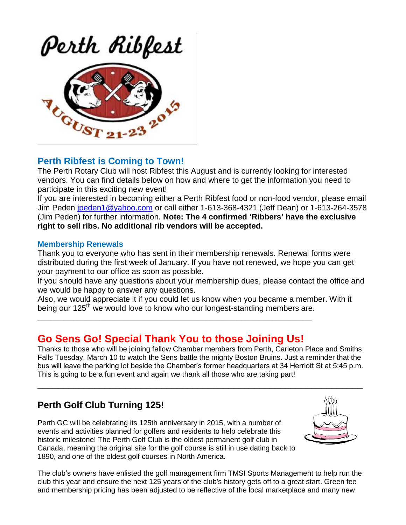# Perth Ribfest



## **Perth Ribfest is Coming to Town!**

The Perth Rotary Club will host Ribfest this August and is currently looking for interested vendors. You can find details below on how and where to get the information you need to participate in this exciting new event!

If you are interested in becoming either a Perth Ribfest food or non-food vendor, please email Jim Peden [jpeden1@yahoo.com](mailto:jpeden1@yahoo.com) or call either 1-613-368-4321 (Jeff Dean) or 1-613-264-3578 (Jim Peden) for further information. **Note: The 4 confirmed 'Ribbers' have the exclusive right to sell ribs. No additional rib vendors will be accepted.**

#### **Membership Renewals**

Thank you to everyone who has sent in their membership renewals. Renewal forms were distributed during the first week of January. If you have not renewed, we hope you can get your payment to our office as soon as possible.

If you should have any questions about your membership dues, please contact the office and we would be happy to answer any questions.

Also, we would appreciate it if you could let us know when you became a member. With it being our 125<sup>th</sup> we would love to know who our longest-standing members are.

## **Go Sens Go! Special Thank You to those Joining Us!**

**\_\_\_\_\_\_\_\_\_\_\_\_\_\_\_\_\_\_\_\_\_\_\_\_\_\_\_\_\_\_\_\_\_\_\_\_\_\_\_\_\_\_\_\_\_\_\_\_\_\_\_\_\_\_\_\_\_\_\_\_\_\_**

Thanks to those who will be joining fellow Chamber members from Perth, Carleton Place and Smiths Falls Tuesday, March 10 to watch the Sens battle the mighty Boston Bruins. Just a reminder that the bus will leave the parking lot beside the Chamber's former headquarters at 34 Herriott St at 5:45 p.m. This is going to be a fun event and again we thank all those who are taking part!

\_\_\_\_\_\_\_\_\_\_\_\_\_\_\_\_\_\_\_\_\_\_\_\_\_\_\_\_\_\_\_\_\_\_\_\_\_\_\_\_\_\_\_\_\_\_\_\_\_\_\_\_\_\_\_\_\_\_\_\_\_\_\_

## **Perth Golf Club Turning 125!**

Perth GC will be celebrating its 125th anniversary in 2015, with a number of events and activities planned for golfers and residents to help celebrate this historic milestone! The Perth Golf Club is the oldest permanent golf club in Canada, meaning the original site for the golf course is still in use dating back to 1890, and one of the oldest golf courses in North America.



The club's owners have enlisted the golf management firm TMSI Sports Management to help run the club this year and ensure the next 125 years of the club's history gets off to a great start. Green fee and membership pricing has been adjusted to be reflective of the local marketplace and many new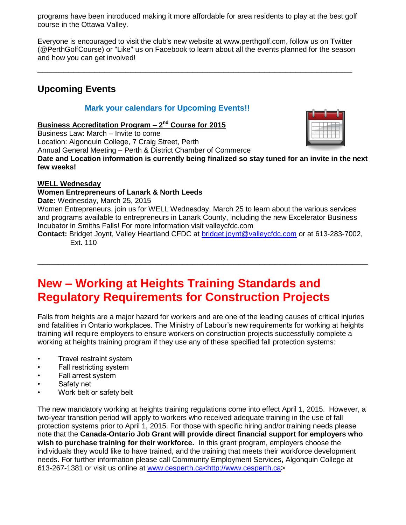programs have been introduced making it more affordable for area residents to play at the best golf course in the Ottawa Valley.

Everyone is encouraged to visit the club's new website at www.perthgolf.com, follow us on Twitter (@PerthGolfCourse) or "Like" us on Facebook to learn about all the events planned for the season and how you can get involved!

 $\_$  , and the set of the set of the set of the set of the set of the set of the set of the set of the set of the set of the set of the set of the set of the set of the set of the set of the set of the set of the set of th

## **Upcoming Events**

#### **Mark your calendars for Upcoming Events!!**

**Business Accreditation Program – 2 nd Course for 2015**

Business Law: March – Invite to come Location: Algonquin College, 7 Craig Street, Perth Annual General Meeting – Perth & District Chamber of Commerce



**Date and Location information is currently being finalized so stay tuned for an invite in the next few weeks!**

#### **WELL Wednesday**

#### **Women Entrepreneurs of Lanark & North Leeds**

**Date:** Wednesday, March 25, 2015

Women Entrepreneurs, join us for WELL Wednesday, March 25 to learn about the various services and programs available to entrepreneurs in Lanark County, including the new Excelerator Business Incubator in Smiths Falls! For more information visit valleycfdc.com

**Contact:** Bridget Joynt, Valley Heartland CFDC at [bridget.joynt@valleycfdc.com](mailto:bridget.joynt@valleycfdc.com) or at 613-283-7002, Ext. 110

**\_\_\_\_\_\_\_\_\_\_\_\_\_\_\_\_\_\_\_\_\_\_\_\_\_\_\_\_\_\_\_\_\_\_\_\_\_\_\_\_\_\_\_\_\_\_\_\_\_\_\_\_\_\_\_\_\_\_\_\_\_\_\_\_**

## **New – Working at Heights Training Standards and Regulatory Requirements for Construction Projects**

Falls from heights are a major hazard for workers and are one of the leading causes of critical injuries and fatalities in Ontario workplaces. The Ministry of Labour's new requirements for working at heights training will require employers to ensure workers on construction projects successfully complete a working at heights training program if they use any of these specified fall protection systems:

- Travel restraint system
- Fall restricting system
- Fall arrest system
- Safety net
- Work belt or safety belt

The new mandatory working at heights training regulations come into effect April 1, 2015. However, a two-year transition period will apply to workers who received adequate training in the use of fall protection systems prior to April 1, 2015. For those with specific hiring and/or training needs please note that the **Canada-Ontario Job Grant will provide direct financial support for employers who wish to purchase training for their workforce.** In this grant program, employers choose the individuals they would like to have trained, and the training that meets their workforce development needs. For further information please call Community Employment Services, Algonquin College at 613-267-1381 or visit us online at www.cesperth.ca<http://www.cesperth.ca>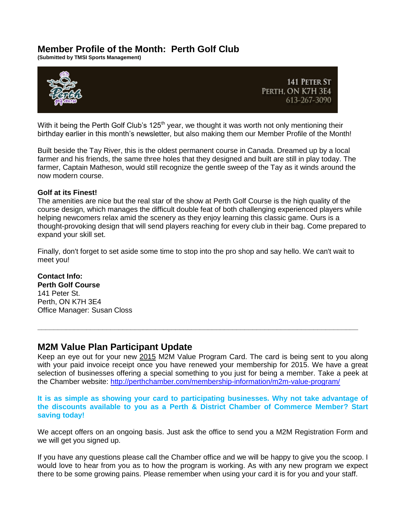#### **Member Profile of the Month: Perth Golf Club**

**(Submitted by TMSI Sports Management)**



With it being the Perth Golf Club's 125<sup>th</sup> year, we thought it was worth not only mentioning their birthday earlier in this month's newsletter, but also making them our Member Profile of the Month!

Built beside the Tay River, this is the oldest permanent course in Canada. Dreamed up by a local farmer and his friends, the same three holes that they designed and built are still in play today. The farmer, Captain Matheson, would still recognize the gentle sweep of the Tay as it winds around the now modern course.

#### **Golf at its Finest!**

The amenities are nice but the real star of the show at Perth Golf Course is the high quality of the course design, which manages the difficult double feat of both challenging experienced players while helping newcomers relax amid the scenery as they enjoy learning this classic game. Ours is a thought-provoking design that will send players reaching for every club in their bag. Come prepared to expand your skill set.

Finally, don't forget to set aside some time to stop into the pro shop and say hello. We can't wait to meet you!

#### **Contact Info:**

**Perth Golf Course** 141 Peter St. Perth, ON K7H 3E4 Office Manager: Susan Closs

#### **M2M Value Plan Participant Update**

Keep an eye out for your new 2015 M2M Value Program Card. The card is being sent to you along with your paid invoice receipt once you have renewed your membership for 2015. We have a great selection of businesses offering a special something to you just for being a member. Take a peek at the Chamber website: <http://perthchamber.com/membership-information/m2m-value-program/>

**\_\_\_\_\_\_\_\_\_\_\_\_\_\_\_\_\_\_\_\_\_\_\_\_\_\_\_\_\_\_\_\_\_\_\_\_\_\_\_\_\_\_\_\_\_\_\_\_\_\_\_\_\_\_\_\_\_\_\_\_\_\_\_\_\_\_\_\_\_\_\_\_\_\_\_\_\_\_\_**

#### **It is as simple as showing your card to participating businesses. Why not take advantage of the discounts available to you as a Perth & District Chamber of Commerce Member? Start saving today!**

We accept offers on an ongoing basis. Just ask the office to send you a M2M Registration Form and we will get you signed up.

If you have any questions please call the Chamber office and we will be happy to give you the scoop. I would love to hear from you as to how the program is working. As with any new program we expect there to be some growing pains. Please remember when using your card it is for you and your staff.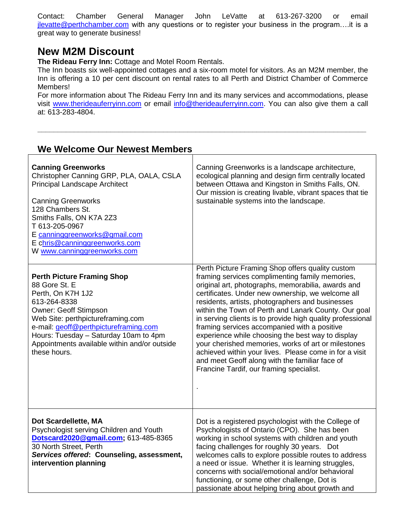Contact: Chamber General Manager John LeVatte at 613-267-3200 or email [jlevatte@perthchamber.com](mailto:jlevatte@perthchamber.com) with any questions or to register your business in the program....it is a great way to generate business!

## **New M2M Discount**

**The Rideau Ferry Inn:** Cottage and Motel Room Rentals.

The Inn boasts six well-appointed cottages and a six-room motel for visitors. As an M2M member, the Inn is offering a 10 per cent discount on rental rates to all Perth and District Chamber of Commerce Members!

For more information about The Rideau Ferry Inn and its many services and accommodations, please visit [www.therideauferryinn.com](http://www.therideauferryinn.com/) or email [info@therideauferryinn.com.](mailto:info@therideauferryinn.com) You can also give them a call at: 613-283-4804.

**\_\_\_\_\_\_\_\_\_\_\_\_\_\_\_\_\_\_\_\_\_\_\_\_\_\_\_\_\_\_\_\_\_\_\_\_\_\_\_\_\_\_\_\_\_\_\_\_\_\_\_\_\_\_\_\_\_\_\_\_\_\_\_\_\_\_\_\_\_\_\_\_\_\_\_\_\_\_\_\_\_**

| We Welcome Our Newest Members                                                                                                                                                                                                                                                                                  |                                                                                                                                                                                                                                                                                                                                                                                                                                                                                                                                                                                                                                                                                                              |
|----------------------------------------------------------------------------------------------------------------------------------------------------------------------------------------------------------------------------------------------------------------------------------------------------------------|--------------------------------------------------------------------------------------------------------------------------------------------------------------------------------------------------------------------------------------------------------------------------------------------------------------------------------------------------------------------------------------------------------------------------------------------------------------------------------------------------------------------------------------------------------------------------------------------------------------------------------------------------------------------------------------------------------------|
| <b>Canning Greenworks</b><br>Christopher Canning GRP, PLA, OALA, CSLA<br><b>Principal Landscape Architect</b><br><b>Canning Greenworks</b><br>128 Chambers St.<br>Smiths Falls, ON K7A 2Z3<br>T 613-205-0967<br>E canninggreenworks@gmail.com<br>E chris@canninggreenworks.com<br>W www.canninggreenworks.com  | Canning Greenworks is a landscape architecture,<br>ecological planning and design firm centrally located<br>between Ottawa and Kingston in Smiths Falls, ON.<br>Our mission is creating livable, vibrant spaces that tie<br>sustainable systems into the landscape.                                                                                                                                                                                                                                                                                                                                                                                                                                          |
| <b>Perth Picture Framing Shop</b><br>88 Gore St. E<br>Perth, On K7H 1J2<br>613-264-8338<br><b>Owner: Geoff Stimpson</b><br>Web Site: perthpictureframing.com<br>e-mail: geoff@perthpictureframing.com<br>Hours: Tuesday - Saturday 10am to 4pm<br>Appointments available within and/or outside<br>these hours. | Perth Picture Framing Shop offers quality custom<br>framing services complimenting family memories,<br>original art, photographs, memorabilia, awards and<br>certificates. Under new ownership, we welcome all<br>residents, artists, photographers and businesses<br>within the Town of Perth and Lanark County. Our goal<br>in serving clients is to provide high quality professional<br>framing services accompanied with a positive<br>experience while choosing the best way to display<br>your cherished memories, works of art or milestones<br>achieved within your lives. Please come in for a visit<br>and meet Geoff along with the familiar face of<br>Francine Tardif, our framing specialist. |
| Dot Scardellette, MA<br>Psychologist serving Children and Youth<br>Dotscard2020@gmail.com; 613-485-8365<br>30 North Street, Perth<br>Services offered: Counseling, assessment,<br>intervention planning                                                                                                        | Dot is a registered psychologist with the College of<br>Psychologists of Ontario (CPO). She has been<br>working in school systems with children and youth<br>facing challenges for roughly 30 years. Dot<br>welcomes calls to explore possible routes to address<br>a need or issue. Whether it is learning struggles,<br>concerns with social/emotional and/or behavioral<br>functioning, or some other challenge, Dot is<br>passionate about helping bring about growth and                                                                                                                                                                                                                                |